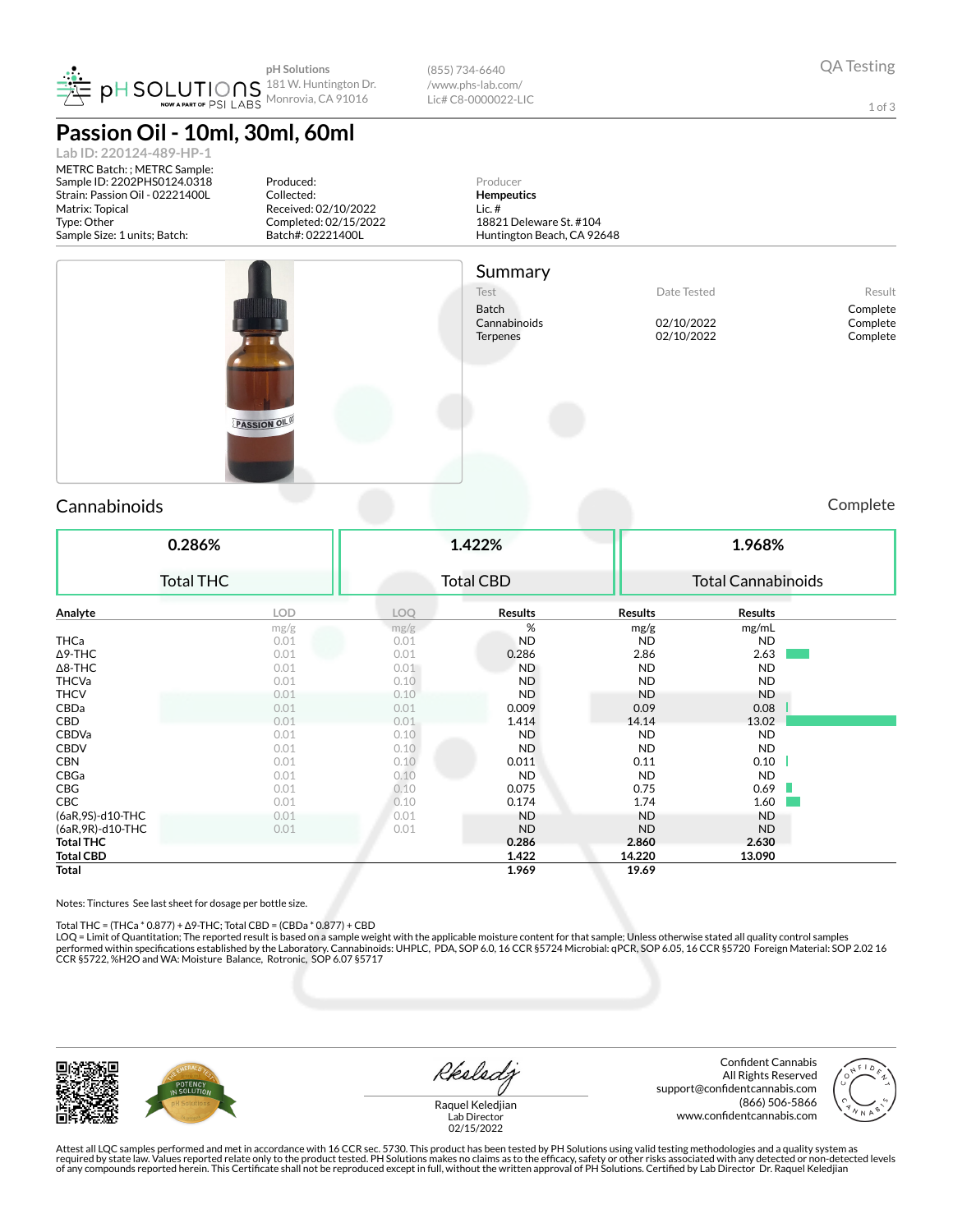

(855) 734-6640 /www.phs-lab.com/ Lic# C8-0000022-LIC

1 of 3

**Passion Oil - 10ml, 30ml, 60ml Lab ID: 220124-489-HP-1**

METRC Batch: ; METRC Sample: Sample ID: 2202PHS0124.0318 Strain: Passion Oil - 02221400L Matrix: Topical Type: Other Sample Size: 1 units; Batch:

Produced: Collected: Received: 02/10/2022 Completed: 02/15/2022 Batch#: 02221400L







Batch Complete<br>Cannabinoids Complete Cannabinoids Complete Cannabinoids Complete

Complete Terpenes 02/10/2022 Complete

PASSION OIL

### Cannabinoids Complete

**0.286%** Total THC **1.422%** Total CBD **1.968%** Total Cannabinoids **Analyte LOD LOQ Results Results Results** mg/g  $mg/g$  mg/mL THCa 0.01 0.01 ND ND ND  $\Delta$ 9-THC 2.63 2.63 2.63 2.63 Δ8-THC 0.01 0.01 ND ND ND THCVa  $0.01$   $0.10$   $\blacksquare$   $\blacksquare$   $\blacksquare$   $\blacksquare$   $\blacksquare$   $\blacksquare$   $\blacksquare$   $\blacksquare$   $\blacksquare$   $\blacksquare$   $\blacksquare$   $\blacksquare$   $\blacksquare$   $\blacksquare$ THCV 0.01 0.10 ND ND ND **CBDa** 0.01 0.01 0.009 0.09 0.08 0.08 CBD 0.01 0.01 0.01 1.414 14.14 13.02  $\textsf{CBDVa}\qquad \qquad \qquad 0.01 \qquad \qquad 0.10 \qquad \qquad \textsf{ND} \qquad \qquad \textsf{ND} \qquad \qquad \textsf{ND}$  $\text{CBDV}$  0.01 0.10 ND ND ND ND CBN 0.01 0.01 0.10 0.011 0.11 0.10 0.11 0.10  $\rm CBGa$  0.01 0.01 0.10 ND ND ND ND ND **CBG 0.01 0.01 0.10 0.075 0.75 0.69** CBC 0.01 0.10 0.174 1.74 1.60 (6aR,9S)-d10-THC 0.01 0.01 ND ND ND (6aR, 9R)-d10-THC **Total THC 0.286 2.860 2.630 Total CBD 1.422 14.220 13.090 Total 1.969 19.69**

Notes: Tinctures See last sheet for dosage per bottle size.

Total THC = (THCa \* 0.877) + Δ9-THC; Total CBD = (CBDa \* 0.877) + CBD<br>LOQ = Limit of Quantitation; The reported result is based on a sample weight with the applicable moisture content for that sample; Unless otherwise stat performed within specifications established by the Laboratory. Cannabinoids: UHPLC, PDA, SOP 6.0, 16 CCR §5724 Microbial: qPCR, SOP 6.05, 16 CCR §5720 Foreign Material: SOP 2.02 16 CCR §5722, %H2O and WA: Moisture Balance, Rotronic, SOP 6.07 §5717



Rkeledy

Confident Cannabis All Rights Reserved support@confidentcannabis.com (866) 506-5866 www.confidentcannabis.com



Raquel Keledjian Lab Director 02/15/2022

Attest all LQC samples performed and met in accordance with 16 CCR sec. 5730. This product has been tested by PH Solutions using valid testing methodologies and a quality system as<br>required by state law. Values reported re of any compounds reported herein. This Certicate shall not be reproduced except in full, without the written approval of PH Solutions. Certied by Lab Director Dr. Raquel Keledjian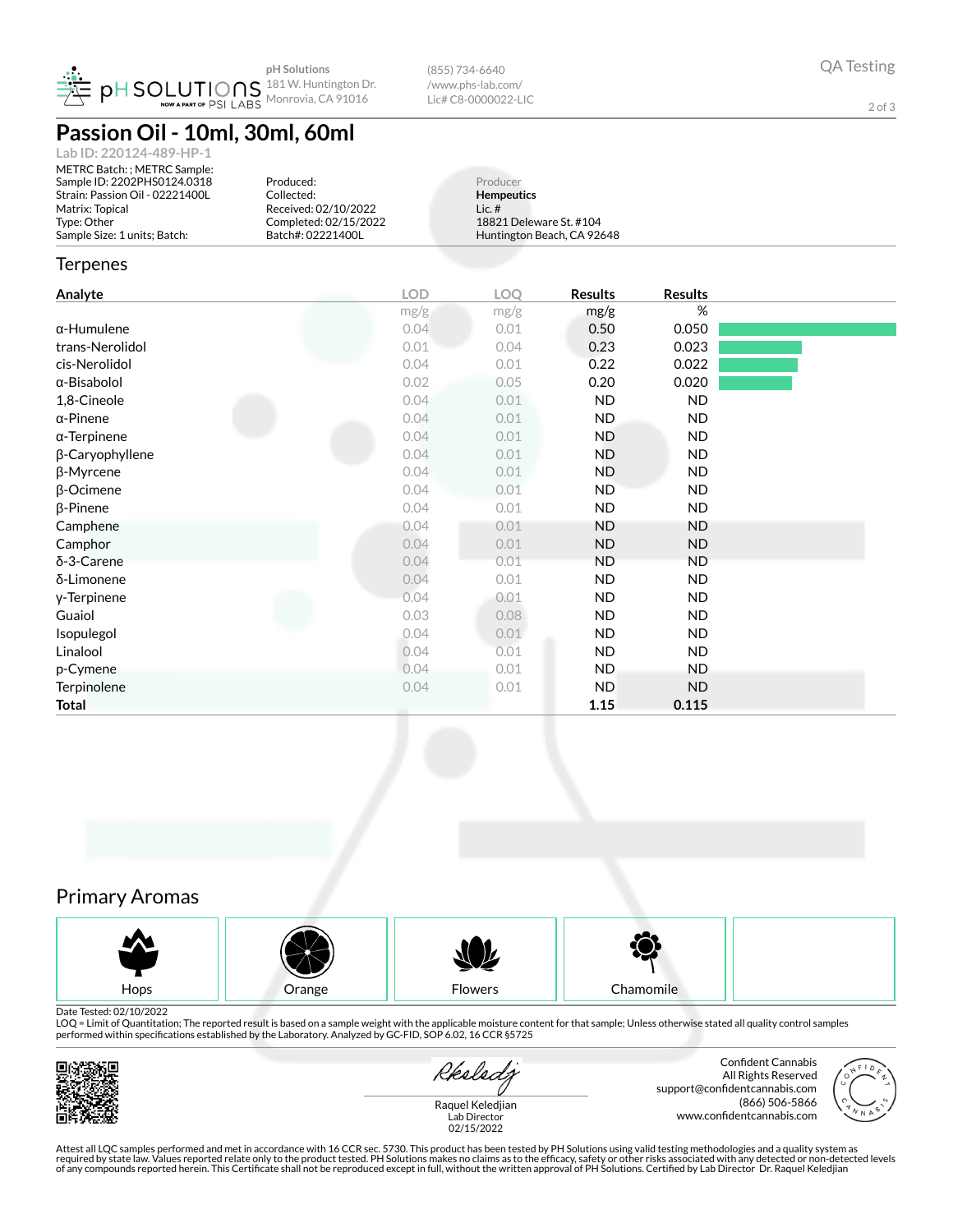

(855) 734-6640 /www.phs-lab.com/ Lic# C8-0000022-LIC

2 of 3

## **Passion Oil - 10ml, 30ml, 60ml**

| Lab ID: 220124-489-HP-1         |
|---------------------------------|
| METRC Batch: ; METRC Sample:    |
| Sample ID: 2202PHS0124.0318     |
| Strain: Passion Oil - 02221400L |
| Matrix: Topical                 |
| Type: Other                     |
| Sample Size: 1 units: Batch:    |

Produced: Collected: Received: 02/10/2022 Completed: 02/15/2022 Batch#: 02221400L

Producer **Hempeutics** Lic. # 18821 Deleware St. #104 Huntington Beach, CA 92648

#### **Terpenes**

| Analyte             | <b>LOD</b> | LOQ  | <b>Results</b> | <b>Results</b> |  |
|---------------------|------------|------|----------------|----------------|--|
|                     | mg/g       | mg/g | mg/g           | %              |  |
| $\alpha$ -Humulene  | 0.04       | 0.01 | 0.50           | 0.050          |  |
| trans-Nerolidol     | 0.01       | 0.04 | 0.23           | 0.023          |  |
| cis-Nerolidol       | 0.04       | 0.01 | 0.22           | 0.022          |  |
| $\alpha$ -Bisabolol | 0.02       | 0.05 | 0.20           | 0.020          |  |
| 1,8-Cineole         | 0.04       | 0.01 | <b>ND</b>      | <b>ND</b>      |  |
| $\alpha$ -Pinene    | 0.04       | 0.01 | <b>ND</b>      | ND             |  |
| $\alpha$ -Terpinene | 0.04       | 0.01 | ND.            | ND.            |  |
| β-Caryophyllene     | 0.04       | 0.01 | ND.            | ND             |  |
| $\beta$ -Myrcene    | 0.04       | 0.01 | ND.            | ND             |  |
| $\beta$ -Ocimene    | 0.04       | 0.01 | ND.            | ND             |  |
| $\beta$ -Pinene     | 0.04       | 0.01 | ND.            | ND             |  |
| Camphene            | 0.04       | 0.01 | ND             | ND             |  |
| Camphor             | 0.04       | 0.01 | <b>ND</b>      | <b>ND</b>      |  |
| δ-3-Carene          | 0.04       | 0.01 | <b>ND</b>      | <b>ND</b>      |  |
| δ-Limonene          | 0.04       | 0.01 | <b>ND</b>      | ND             |  |
| y-Terpinene         | 0.04       | 0.01 | <b>ND</b>      | ND             |  |
| Guaiol              | 0.03       | 0.08 | <b>ND</b>      | ND             |  |
| Isopulegol          | 0.04       | 0.01 | <b>ND</b>      | ND             |  |
| Linalool            | 0.04       | 0.01 | <b>ND</b>      | ND             |  |
| p-Cymene            | 0.04       | 0.01 | ND.            | ND.            |  |
| Terpinolene         | 0.04       | 0.01 | <b>ND</b>      | <b>ND</b>      |  |
| <b>Total</b>        |            |      | 1.15           | 0.115          |  |
|                     |            |      |                |                |  |

### Primary Aromas



Date Tested: 02/10/2022

LOQ = Limit of Quantitation; The reported result is based on a sample weight with the applicable moisture content for that sample; Unless otherwise stated all quality control samples performed within specications established by the Laboratory. Analyzed by GC-FID, SOP 6.02, 16 CCR §5725



Rkeledz

Confident Cannabis All Rights Reserved support@confidentcannabis.com (866) 506-5866 www.confidentcannabis.com



Raquel Keledjian Lab Director 02/15/2022

Attest all LQC samples performed and met in accordance with 16 CCR sec. 5730. This product has been tested by PH Solutions using valid testing methodologies and a quality system as<br>required by state law. Values reported re